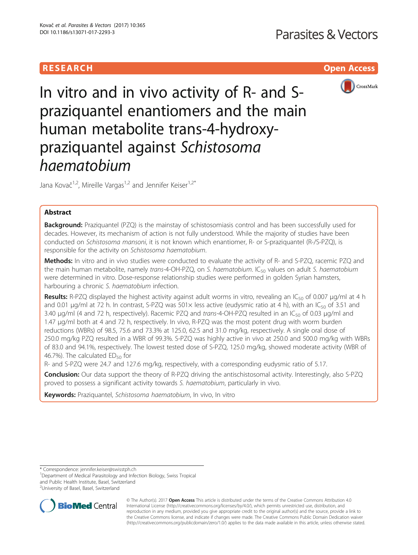# **RESEARCH CHILD CONTROL** CONTROL CONTROL CONTROL CONTROL CONTROL CONTROL CONTROL CONTROL CONTROL CONTROL CONTROL



In vitro and in vivo activity of R- and Spraziquantel enantiomers and the main human metabolite trans-4-hydroxypraziquantel against Schistosoma haematobium

Jana Kovač<sup>1,2</sup>, Mireille Vargas<sup>1,2</sup> and Jennifer Keiser<sup>1,2\*</sup>

# Abstract

**Background:** Praziquantel (PZQ) is the mainstay of schistosomiasis control and has been successfully used for decades. However, its mechanism of action is not fully understood. While the majority of studies have been conducted on Schistosoma mansoni, it is not known which enantiomer, R- or S-praziquantel (R-/S-PZQ), is responsible for the activity on Schistosoma haematobium.

Methods: In vitro and in vivo studies were conducted to evaluate the activity of R- and S-PZQ, racemic PZQ and the main human metabolite, namely trans-4-OH-PZQ, on S. haematobium.  $IC_{50}$  values on adult S. haematobium were determined in vitro. Dose-response relationship studies were performed in golden Syrian hamsters, harbouring a chronic S. haematobium infection.

**Results:** R-PZQ displayed the highest activity against adult worms in vitro, revealing an IC<sub>50</sub> of 0.007 µg/ml at 4 h and 0.01 µg/ml at 72 h. In contrast, S-PZQ was 501 $\times$  less active (eudysmic ratio at 4 h), with an IC<sub>50</sub> of 3.51 and 3.40 μg/ml (4 and 72 h, respectively). Racemic PZQ and trans-4-OH-PZQ resulted in an IC<sub>50</sub> of 0.03 μg/ml and 1.47 μg/ml both at 4 and 72 h, respectively. In vivo, R-PZQ was the most potent drug with worm burden reductions (WBRs) of 98.5, 75.6 and 73.3% at 125.0, 62.5 and 31.0 mg/kg, respectively. A single oral dose of 250.0 mg/kg PZQ resulted in a WBR of 99.3%. S-PZQ was highly active in vivo at 250.0 and 500.0 mg/kg with WBRs of 83.0 and 94.1%, respectively. The lowest tested dose of S-PZQ, 125.0 mg/kg, showed moderate activity (WBR of 46.7%). The calculated  $ED_{50}$  for

R- and S-PZQ were 24.7 and 127.6 mg/kg, respectively, with a corresponding eudysmic ratio of 5.17.

Conclusion: Our data support the theory of R-PZQ driving the antischistosomal activity. Interestingly, also S-PZQ proved to possess a significant activity towards S. haematobium, particularly in vivo.

Keywords: Praziquantel, Schistosoma haematobium, In vivo, In vitro

\* Correspondence: [jennifer.keiser@swisstph.ch](mailto:jennifer.keiser@swisstph.ch) <sup>1</sup>

<sup>1</sup>Department of Medical Parasitology and Infection Biology, Swiss Tropical and Public Health Institute, Basel, Switzerland

<sup>2</sup>University of Basel, Basel, Switzerland



© The Author(s). 2017 **Open Access** This article is distributed under the terms of the Creative Commons Attribution 4.0 International License [\(http://creativecommons.org/licenses/by/4.0/](http://creativecommons.org/licenses/by/4.0/)), which permits unrestricted use, distribution, and reproduction in any medium, provided you give appropriate credit to the original author(s) and the source, provide a link to the Creative Commons license, and indicate if changes were made. The Creative Commons Public Domain Dedication waiver [\(http://creativecommons.org/publicdomain/zero/1.0/](http://creativecommons.org/publicdomain/zero/1.0/)) applies to the data made available in this article, unless otherwise stated.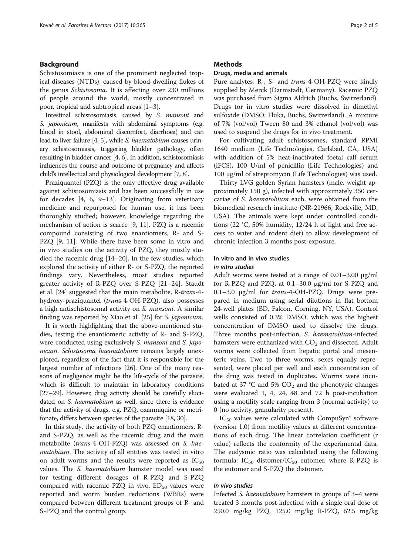# Background

Schistosomiasis is one of the prominent neglected tropical diseases (NTDs), caused by blood-dwelling flukes of the genus Schistosoma. It is affecting over 230 millions of people around the world, mostly concentrated in poor, tropical and subtropical areas [\[1](#page-4-0)–[3](#page-4-0)].

Intestinal schistosomiasis, caused by S. mansoni and S. *japonicum*, manifests with abdominal symptoms (e.g. blood in stool, abdominal discomfort, diarrhoea) and can lead to liver failure [\[4, 5\]](#page-4-0), while S. haematobium causes urinary schistosomiasis, triggering bladder pathology, often resulting in bladder cancer [\[4, 6\]](#page-4-0). In addition, schistosomiasis influences the course and outcome of pregnancy and affects child's intellectual and physiological development [\[7, 8\]](#page-4-0).

Praziquantel (PZQ) is the only effective drug available against schistosomiasis and has been successfully in use for decades [[4, 6](#page-4-0), [9](#page-4-0)–[13\]](#page-4-0). Originating from veterinary medicine and repurposed for human use, it has been thoroughly studied; however, knowledge regarding the mechanism of action is scarce [[9, 11](#page-4-0)]. PZQ is a racemic compound consisting of two enantiomers, R- and S-PZQ [\[9](#page-4-0), [11](#page-4-0)]. While there have been some in vitro and in vivo studies on the activity of PZQ, they mostly studied the racemic drug [\[14](#page-4-0)–[20](#page-4-0)]. In the few studies, which explored the activity of either R- or S-PZQ, the reported findings vary. Nevertheless, most studies reported greater activity of R-PZQ over S-PZQ [[21](#page-4-0)–[24](#page-4-0)]. Staudt et al. [[24](#page-4-0)] suggested that the main metabolite, R-trans-4 hydroxy-praziquantel (trans-4-OH-PZQ), also possesses a high antischistosomal activity on S. mansoni. A similar finding was reported by Xiao et al. [\[25](#page-4-0)] for S. japonicum.

It is worth highlighting that the above-mentioned studies, testing the enantiomeric activity of R- and S-PZQ, were conducted using exclusively *S. mansoni* and *S. japo*nicum. Schistosoma haematobium remains largely unexplored, regardless of the fact that it is responsible for the largest number of infections [\[26\]](#page-4-0). One of the many reasons of negligence might be the life-cycle of the parasite, which is difficult to maintain in laboratory conditions [[27](#page-4-0)–[29\]](#page-4-0). However, drug activity should be carefully elucidated on S. haematobium as well, since there is evidence that the activity of drugs, e.g. PZQ, oxamniquine or metrifonate, differs between species of the parasite [\[18, 30\]](#page-4-0).

In this study, the activity of both PZQ enantiomers, Rand S-PZQ, as well as the racemic drug and the main metabolite (trans-4-OH-PZQ) was assessed on S. haematobium. The activity of all entities was tested in vitro on adult worms and the results were reported as  $IC_{50}$ values. The *S. haematobium* hamster model was used for testing different dosages of R-PZQ and S-PZQ compared with racemic PZQ in vivo.  $ED_{50}$  values were reported and worm burden reductions (WBRs) were compared between different treatment groups of R- and S-PZQ and the control group.

# **Methods**

## Drugs, media and animals

Pure analytes, R-, S- and trans-4-OH-PZQ were kindly supplied by Merck (Darmstadt, Germany). Racemic PZQ was purchased from Sigma Aldrich (Buchs, Switzerland). Drugs for in vitro studies were dissolved in dimethyl sulfoxide (DMSO; Fluka, Buchs, Switzerland). A mixture of 7% (vol/vol) Tween 80 and 3% ethanol (vol/vol) was used to suspend the drugs for in vivo treatment.

For cultivating adult schistosomes, standard RPMI 1640 medium (Life Technologies, Carlsbad, CA, USA) with addition of 5% heat-inactivated foetal calf serum (iFCS), 100 U/ml of penicillin (Life Technologies) and 100 μg/ml of streptomycin (Life Technologies) was used.

Thirty LVG golden Syrian hamsters (male, weight approximately 150 g), infected with approximately 350 cercariae of S. haematobium each, were obtained from the biomedical research institute (NR-21966, Rockville, MD, USA). The animals were kept under controlled conditions (22 °C, 50% humidity, 12/24 h of light and free access to water and rodent diet) to allow development of chronic infection 3 months post-exposure.

# In vitro and in vivo studies

# In vitro studies

Adult worms were tested at a range of 0.01–3.00 μg/ml for R-PZQ and PZQ, at 0.1–30.0 μg/ml for S-PZQ and 0.1–3.0 μg/ml for trans-4-OH-PZQ. Drugs were prepared in medium using serial dilutions in flat bottom 24-well plates (BD, Falcon, Corning, NY, USA). Control wells consisted of 0.3% DMSO, which was the highest concentration of DMSO used to dissolve the drugs. Three months post-infection, S. haematobium-infected hamsters were euthanized with  $CO<sub>2</sub>$  and dissected. Adult worms were collected from hepatic portal and mesenteric veins. Two to three worms, sexes equally represented, were placed per well and each concentration of the drug was tested in duplicates. Worms were incubated at 37 °C and 5%  $CO<sub>2</sub>$  and the phenotypic changes were evaluated 1, 4, 24, 48 and 72 h post-incubation using a motility scale ranging from 3 (normal activity) to 0 (no activity, granularity present).

 $IC_{50}$  values were calculated with CompuSyn® software (version 1.0) from motility values at different concentrations of each drug. The linear correlation coefficient (r value) reflects the conformity of the experimental data. The eudysmic ratio was calculated using the following formula:  $IC_{50}$  distomer/I $C_{50}$  eutomer, where R-PZQ is the eutomer and S-PZQ the distomer.

# In vivo studies

Infected S. haematobium hamsters in groups of 3–4 were treated 3 months post-infection with a single oral dose of 250.0 mg/kg PZQ, 125.0 mg/kg R-PZQ, 62.5 mg/kg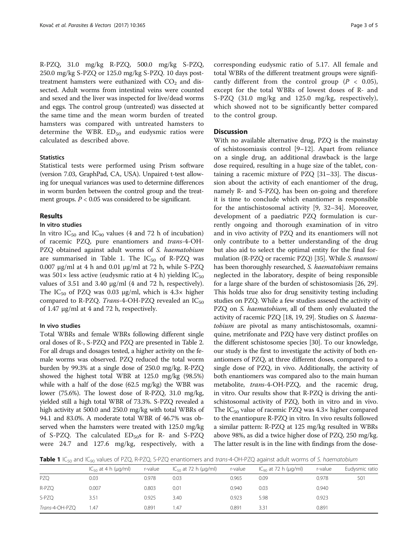R-PZQ, 31.0 mg/kg R-PZQ, 500.0 mg/kg S-PZQ, 250.0 mg/kg S-PZQ or 125.0 mg/kg S-PZQ. 10 days posttreatment hamsters were euthanized with  $CO<sub>2</sub>$  and dissected. Adult worms from intestinal veins were counted and sexed and the liver was inspected for live/dead worms and eggs. The control group (untreated) was dissected at the same time and the mean worm burden of treated hamsters was compared with untreated hamsters to determine the WBR.  $ED_{50}$  and eudysmic ratios were calculated as described above.

# **Statistics**

Statistical tests were performed using Prism software (version 7.03, GraphPad, CA, USA). Unpaired t-test allowing for unequal variances was used to determine differences in worm burden between the control group and the treatment groups.  $P < 0.05$  was considered to be significant.

# Results

# In vitro studies

In vitro  $IC_{50}$  and  $IC_{90}$  values (4 and 72 h of incubation) of racemic PZQ, pure enantiomers and trans-4-OH-PZQ obtained against adult worms of S. haematobium are summarised in Table 1. The  $IC_{50}$  of R-PZQ was 0.007 μg/ml at 4 h and 0.01 μg/ml at 72 h, while S-PZQ was  $501 \times$  less active (eudysmic ratio at 4 h) yielding IC<sub>50</sub> values of 3.51 and 3.40 μg/ml (4 and 72 h, respectively). The IC<sub>50</sub> of PZQ was 0.03  $\mu$ g/ml, which is 4.3× higher compared to R-PZQ. Trans-4-OH-PZQ revealed an  $IC_{50}$ of 1.47 μg/ml at 4 and 72 h, respectively.

# In vivo studies

Total WBRs and female WBRs following different single oral doses of R-, S-PZQ and PZQ are presented in Table [2](#page-3-0). For all drugs and dosages tested, a higher activity on the female worms was observed. PZQ reduced the total worm burden by 99.3% at a single dose of 250.0 mg/kg. R-PZQ showed the highest total WBR at 125.0 mg/kg (98.5%) while with a half of the dose (62.5 mg/kg) the WBR was lower (75.6%). The lowest dose of R-PZQ, 31.0 mg/kg, yielded still a high total WBR of 73.3%. S-PZQ revealed a high activity at 500.0 and 250.0 mg/kg with total WBRs of 94.1 and 83.0%. A moderate total WBR of 46.7% was observed when the hamsters were treated with 125.0 mg/kg of S-PZQ. The calculated  $ED_{50}$ s for R- and S-PZQ were 24.7 and 127.6 mg/kg, respectively, with a

corresponding eudysmic ratio of 5.17. All female and total WBRs of the different treatment groups were significantly different from the control group ( $P < 0.05$ ), except for the total WBRs of lowest doses of R- and S-PZQ (31.0 mg/kg and 125.0 mg/kg, respectively), which showed not to be significantly better compared to the control group.

# **Discussion**

With no available alternative drug, PZQ is the mainstay of schistosomiasis control [[9](#page-4-0)–[12](#page-4-0)]. Apart from reliance on a single drug, an additional drawback is the large dose required, resulting in a huge size of the tablet, containing a racemic mixture of PZQ [\[31](#page-4-0)–[33\]](#page-4-0). The discussion about the activity of each enantiomer of the drug, namely R- and S-PZQ, has been on-going and therefore it is time to conclude which enantiomer is responsible for the antischistosomal activity [\[9](#page-4-0), [32](#page-4-0)–[34\]](#page-4-0). Moreover, development of a paediatric PZQ formulation is currently ongoing and thorough examination of in vitro and in vivo activity of PZQ and its enantiomers will not only contribute to a better understanding of the drug but also aid to select the optimal entity for the final for-mulation (R-PZQ or racemic PZQ) [\[35\]](#page-4-0). While S. *mansoni* has been thoroughly researched, S. haematobium remains neglected in the laboratory, despite of being responsible for a large share of the burden of schistosomiasis [\[26, 29](#page-4-0)]. This holds true also for drug sensitivity testing including studies on PZQ. While a few studies assesed the activity of PZQ on S. haematobium, all of them only evaluated the activity of racemic PZQ [\[18, 19](#page-4-0), [29](#page-4-0)]. Studies on S. haematobium are pivotal as many antischistosomals, oxamniquine, metrifonate and PZQ have very distinct profiles on the different schistosome species [[30](#page-4-0)]. To our knowledge, our study is the first to investigate the activity of both enantiomers of PZQ, at three different doses, compared to a single dose of PZQ, in vivo. Additionally, the activity of both enantiomers was compared also to the main human metabolite, trans-4-OH-PZQ, and the racemic drug, in vitro. Our results show that R-PZQ is driving the antischistosomal activity of PZQ, both in vitro and in vivo. The  $IC_{50}$  value of racemic PZQ was  $4.3\times$  higher compared to the enantiopure R-PZQ in vitro. In vivo results followed a similar pattern: R-PZQ at 125 mg/kg resulted in WBRs above 98%, as did a twice higher dose of PZQ, 250 mg/kg. The latter result is in the line with findings from the dose-

**Table 1** IC<sub>50</sub> and IC<sub>90</sub> values of PZQ, R-PZQ, S-PZQ enantiomers and trans-4-OH-PZQ against adult worms of S. haematobium

|                | $IC_{50}$ at 4 h ( $\mu$ g/ml) | r-value | $IC_{50}$ at 72 h ( $\mu$ g/ml) | r-value | $IC_{\rm q0}$ at 72 h ( $\mu$ g/ml) | r-value | Eudysmic ratio |
|----------------|--------------------------------|---------|---------------------------------|---------|-------------------------------------|---------|----------------|
| PZO            | 0.03                           | 0.978   | 0.03                            | 0.965   | 0.09                                | 0.978   | 501            |
| R-PZQ          | 0.007                          | 0.803   | 0.01                            | 0.940   | 0.03                                | 0.940   |                |
| S-PZO          | 3.51                           | 0.925   | 3.40                            | 0.923   | 5.98                                | 0.923   |                |
| Trans-4-OH-PZQ | 1.47                           | 0.891   | 1.47                            | 0.891   | 3.31                                | 0.891   |                |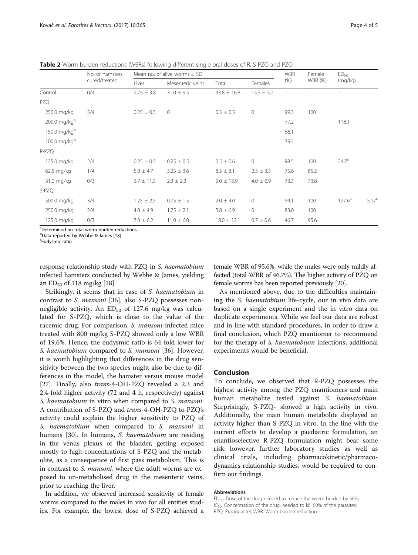<span id="page-3-0"></span>Table 2 Worm burden reductions (WBRs) following different single oral doses of R, S-PZQ and PZQ

|              | No. of hamsters<br>cured/treated | Mean no. of alive worms $\pm$ SD |                  |                 |                     | <b>WBR</b> | Female         | ED <sub>50</sub>  |                   |
|--------------|----------------------------------|----------------------------------|------------------|-----------------|---------------------|------------|----------------|-------------------|-------------------|
|              |                                  | Liver                            | Mesenteric veins | Total           | Females             | (% )       | <b>WBR</b> (%) | (mq/kg)           |                   |
| Control      | 0/4                              | $2.75 \pm 3.8$                   | $31.0 \pm 9.5$   | $33.8 \pm 16.8$ | $15.3 \pm 5.2$      |            |                |                   |                   |
| PZQ          |                                  |                                  |                  |                 |                     |            |                |                   |                   |
| 250.0 mg/kg  | 3/4                              | $0.25 \pm 0.5$                   | $\overline{0}$   | $0.3 \pm 0.5$   | $\mathsf{O}\xspace$ | 99.3       | 100            |                   |                   |
| 200.0 mg/kgb |                                  |                                  |                  |                 |                     | 77.2       |                | 118.1             |                   |
| 150.0 mg/kgb |                                  |                                  |                  |                 |                     | 66.1       |                |                   |                   |
| 100.0 mg/kgb |                                  |                                  |                  |                 |                     | 39.2       |                |                   |                   |
| R-PZQ        |                                  |                                  |                  |                 |                     |            |                |                   |                   |
| 125.0 mg/kg  | 2/4                              | $0.25 \pm 0.5$                   | $0.25 \pm 0.5$   | $0.5 \pm 0.6$   | $\circ$             | 98.5       | 100            | 24.7 <sup>a</sup> |                   |
| 62.5 mg/kg   | 1/4                              | $5.0 \pm 4.7$                    | $3.25 \pm 3.6$   | $8.3 \pm 8.1$   | $2.3 \pm 3.3$       | 75.6       | 85.2           |                   |                   |
| 31.0 mg/kg   | 0/3                              | $6.7 \pm 11.5$                   | $2.3 \pm 2.3$    | $9.0 \pm 13.9$  | $4.0 \pm 6.9$       | 73.3       | 73.8           |                   |                   |
| S-PZQ        |                                  |                                  |                  |                 |                     |            |                |                   |                   |
| 500.0 mg/kg  | 3/4                              | $1.25 \pm 2.5$                   | $0.75 \pm 1.5$   | $2.0 \pm 4.0$   | $\circ$             | 94.1       | 100            | $127.6^a$         | 5.17 <sup>c</sup> |
| 250.0 mg/kg  | 2/4                              | $4.0 \pm 4.9$                    | $1.75 \pm 2.1$   | $5.8 \pm 6.9$   | $\mathsf{O}\xspace$ | 83.0       | 100            |                   |                   |
| 125.0 mg/kg  | 0/3                              | $7.0 \pm 6.2$                    | $11.0 \pm 6.0$   | $18.0 \pm 12.1$ | $0.7 \pm 0.6$       | 46.7       | 95.6           |                   |                   |

<sup>a</sup>Determined on total worm burden reductions

b<br>Data reported by Webbe & James [[18\]](#page-4-0)<br><sup>c</sup>Eudvemic ratio

Eudysmic ratio

response relationship study with PZQ in S. haematobium infected hamsters conducted by Webbe & James, yielding an  $ED_{50}$  of 118 mg/kg [\[18\]](#page-4-0).

Strikingly, it seems that in case of S. haematobium in contrast to S. mansoni [\[36](#page-4-0)], also S-PZQ possesses nonnegligible activity. An  $ED_{50}$  of 127.6 mg/kg was calculated for S-PZQ, which is close to the value of the racemic drug. For comparison, S. mansoni-infected mice treated with 800 mg/kg S-PZQ showed only a low WBR of 19.6%. Hence, the eudysmic ratio is 64-fold lower for S. haematobium compared to S. mansoni [\[36\]](#page-4-0). However, it is worth highlighting that differences in the drug sensitivity between the two species might also be due to differences in the model, the hamster versus mouse model [[27\]](#page-4-0). Finally, also trans-4-OH-PZQ revealed a 2.3 and 2.4-fold higher activity (72 and 4 h, respectively) against S. haematobium in vitro when compared to S. mansoni. A contribution of S-PZQ and trans-4-OH-PZQ to PZQ's activity could explain the higher sensitivity to PZQ of S. haematobium when compared to S. mansoni in humans [[30\]](#page-4-0). In humans, S. haematobium are residing in the venus plexus of the bladder, getting exposed mostly to high concentrations of S-PZQ and the metabolite, as a consequence of first pass metabolism. This is in contrast to *S. mansoni*, where the adult worms are exposed to un-metabolised drug in the mesenteric veins, prior to reaching the liver.

In addition, we observed increased sensitivity of female worms compared to the males in vivo for all entities studies. For example, the lowest dose of S-PZQ achieved a

female WBR of 95.6%, while the males were only mildly affected (total WBR of 46.7%). The higher activity of PZQ on female worms has been reported previously [[20\]](#page-4-0).

As mentioned above, due to the difficulties maintaining the S. haematobium life-cycle, our in vivo data are based on a single experiment and the in vitro data on duplicate experiments. While we feel our data are robust and in line with standard procedures, in order to draw a final conclusion, which PZQ enantiomer to recommend for the therapy of S. haematobium infections, additional experiments would be beneficial.

# Conclusion

To conclude, we observed that R-PZQ possesses the highest activity among the PZQ enantiomers and main human metabolite tested against S. haematobium. Surprisingly, S-PZQ- showed a high activity in vivo. Additionally, the main human metabolite displayed an activity higher than S-PZQ in vitro. In the line with the current efforts to develop a paediatric formulation, an enantioselective R-PZQ formulation might bear some risk; however, further laboratory studies as well as clinical trials, including pharmacokinetic/pharmacodynamics relationship studies, would be required to confirm our findings.

## Abbreviations

ED<sub>50</sub>: Dose of the drug needed to reduce the worm burden by 50%; IC<sub>50</sub>: Concentration of the drug, needed to kill 50% of the parasites; PZQ: Praziquantel; WBR: Worm burden reduction